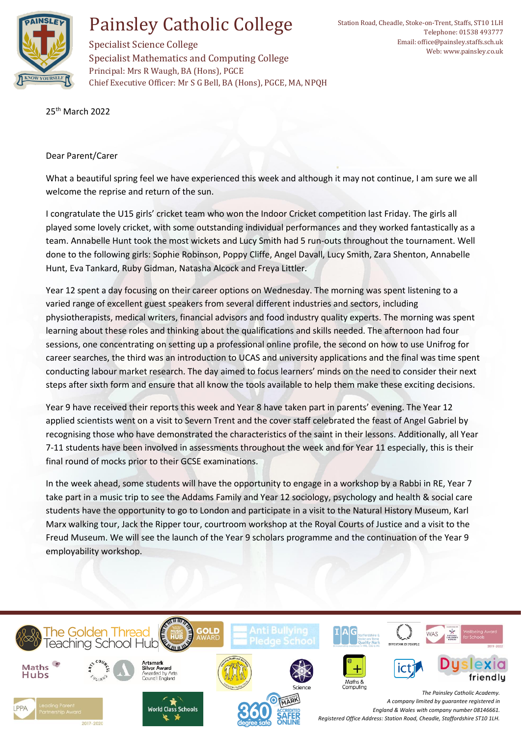

## Painsley Catholic College

Specialist Science College Specialist Mathematics and Computing College Principal: Mrs R Waugh, BA (Hons), PGCE Chief Executive Officer: Mr S G Bell, BA (Hons), PGCE, MA, NPQH

25th March 2022

## Dear Parent/Carer

What a beautiful spring feel we have experienced this week and although it may not continue, I am sure we all welcome the reprise and return of the sun.

I congratulate the U15 girls' cricket team who won the Indoor Cricket competition last Friday. The girls all played some lovely cricket, with some outstanding individual performances and they worked fantastically as a team. Annabelle Hunt took the most wickets and Lucy Smith had 5 run-outs throughout the tournament. Well done to the following girls: Sophie Robinson, Poppy Cliffe, Angel Davall, Lucy Smith, Zara Shenton, Annabelle Hunt, Eva Tankard, Ruby Gidman, Natasha Alcock and Freya Littler.

Year 12 spent a day focusing on their career options on Wednesday. The morning was spent listening to a varied range of excellent guest speakers from several different industries and sectors, including physiotherapists, medical writers, financial advisors and food industry quality experts. The morning was spent learning about these roles and thinking about the qualifications and skills needed. The afternoon had four sessions, one concentrating on setting up a professional online profile, the second on how to use Unifrog for career searches, the third was an introduction to UCAS and university applications and the final was time spent conducting labour market research. The day aimed to focus learners' minds on the need to consider their next steps after sixth form and ensure that all know the tools available to help them make these exciting decisions.

Year 9 have received their reports this week and Year 8 have taken part in parents' evening. The Year 12 applied scientists went on a visit to Severn Trent and the cover staff celebrated the feast of Angel Gabriel by recognising those who have demonstrated the characteristics of the saint in their lessons. Additionally, all Year 7-11 students have been involved in assessments throughout the week and for Year 11 especially, this is their final round of mocks prior to their GCSE examinations.

In the week ahead, some students will have the opportunity to engage in a workshop by a Rabbi in RE, Year 7 take part in a music trip to see the Addams Family and Year 12 sociology, psychology and health & social care students have the opportunity to go to London and participate in a visit to the Natural History Museum, Karl Marx walking tour, Jack the Ripper tour, courtroom workshop at the Royal Courts of Justice and a visit to the Freud Museum. We will see the launch of the Year 9 scholars programme and the continuation of the Year 9 employability workshop.